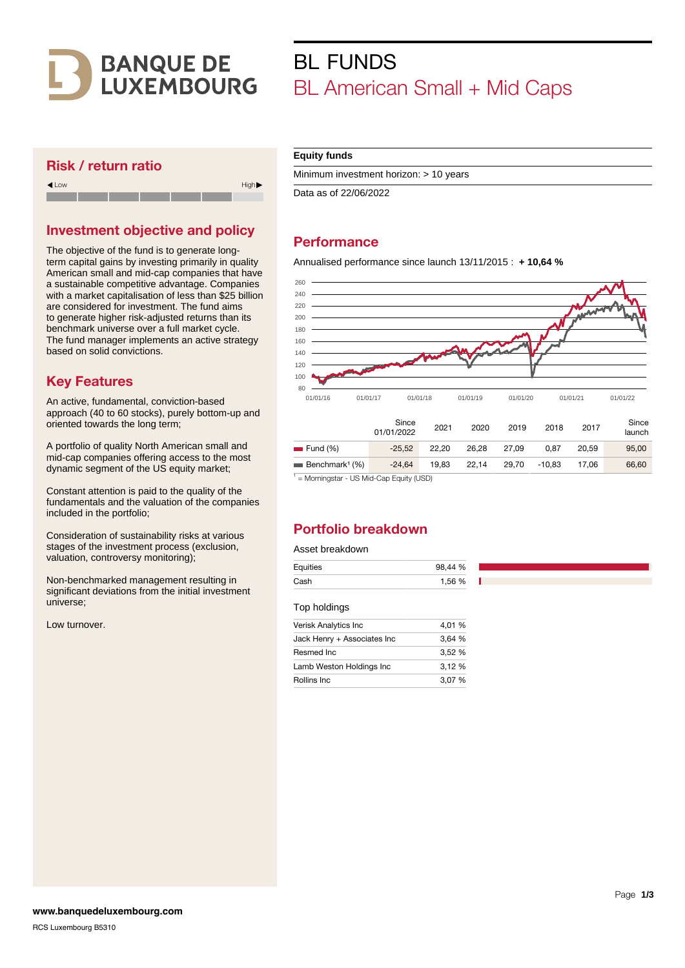

#### Risk / return ratio



## Investment objective and policy

The objective of the fund is to generate longterm capital gains by investing primarily in quality American small and mid-cap companies that have a sustainable competitive advantage. Companies with a market capitalisation of less than \$25 billion are considered for investment. The fund aims to generate higher risk-adjusted returns than its benchmark universe over a full market cycle. The fund manager implements an active strategy based on solid convictions.

## Key Features

An active, fundamental, conviction-based approach (40 to 60 stocks), purely bottom-up and oriented towards the long term;

A portfolio of quality North American small and mid-cap companies offering access to the most dynamic segment of the US equity market;

Constant attention is paid to the quality of the fundamentals and the valuation of the companies included in the portfolio;

Consideration of sustainability risks at various stages of the investment process (exclusion, valuation, controversy monitoring);

Non-benchmarked management resulting in significant deviations from the initial investment universe;

Low turnover.

#### **Equity funds**

Minimum investment horizon: > 10 years

Data as of 22/06/2022

BL FUNDS

## **Performance**

Annualised performance since launch 13/11/2015 : **+ 10,64 %**

BL American Small + Mid Caps



<sup>1</sup> = Morningstar - US Mid-Cap Equity (USD)

## Portfolio breakdown

#### Asset breakdown

| Equities | 98,44 % |
|----------|---------|
| Cash     | 1,56 %  |

Top holdings

| Verisk Analytics Inc        | 4.01 % |
|-----------------------------|--------|
| Jack Henry + Associates Inc | 3.64 % |
| Resmed Inc.                 | 3.52%  |
| Lamb Weston Holdings Inc    | 3.12%  |
| Rollins Inc                 | 3,07 % |
|                             |        |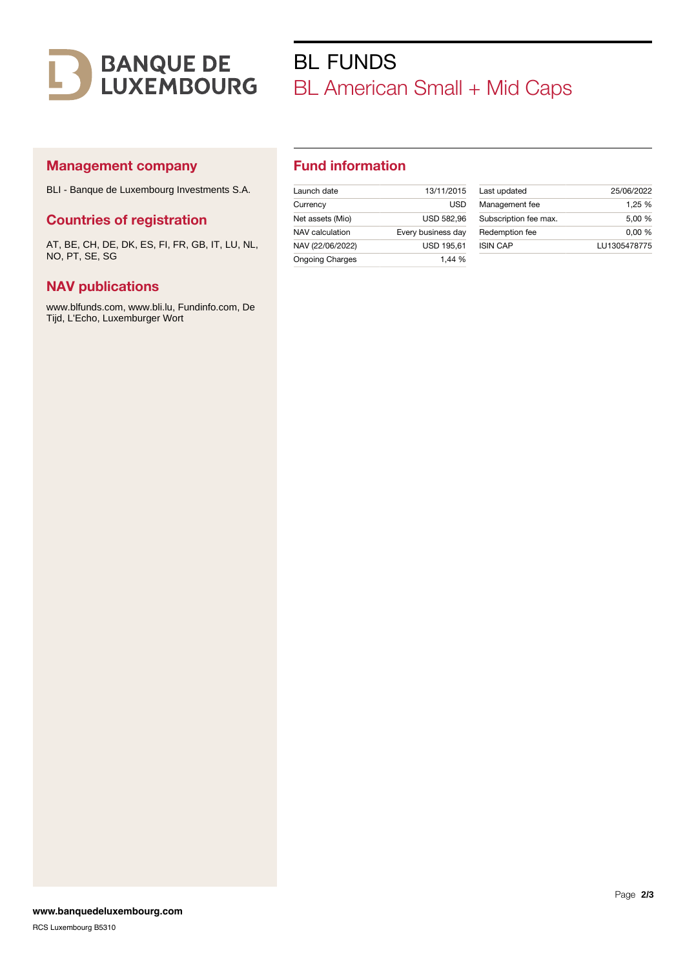

# BL FUNDS BL American Small + Mid Caps

#### Management company

BLI - Banque de Luxembourg Investments S.A.

#### Countries of registration

AT, BE, CH, DE, DK, ES, FI, FR, GB, IT, LU, NL, NO, PT, SE, SG

#### NAV publications

www.blfunds.com, www.bli.lu, Fundinfo.com, De Tijd, L'Echo, Luxemburger Wort

## Fund information

| Launch date            | 13/11/2015         |
|------------------------|--------------------|
| Currency               | USD                |
| Net assets (Mio)       | <b>USD 582.96</b>  |
| NAV calculation        | Every business day |
| NAV (22/06/2022)       | <b>USD 195,61</b>  |
| <b>Ongoing Charges</b> | 1.44 %             |

| Last updated          | 25/06/2022   |
|-----------------------|--------------|
| Management fee        | 1.25 %       |
| Subscription fee max. | 5.00 %       |
| Redemption fee        | 0.00%        |
| <b>ISIN CAP</b>       | LU1305478775 |
|                       |              |